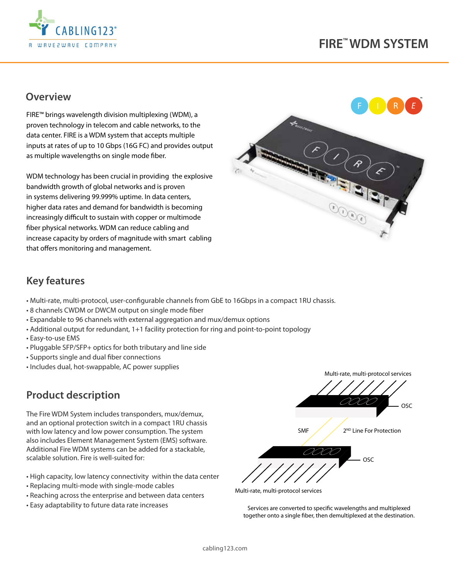

## **Overview**

FIRE™ brings wavelength division multiplexing (WDM), a proven technology in telecom and cable networks, to the data center. FIRE is a WDM system that accepts multiple inputs at rates of up to 10 Gbps (16G FC) and provides output as multiple wavelengths on single mode fiber.

WDM technology has been crucial in providing the explosive bandwidth growth of global networks and is proven in systems delivering 99.999% uptime. In data centers, higher data rates and demand for bandwidth is becoming increasingly difficult to sustain with copper or multimode fiber physical networks. WDM can reduce cabling and increase capacity by orders of magnitude with smart cabling that offers monitoring and management.



# **Key features**

- Multi-rate, multi-protocol, user-configurable channels from GbE to 16Gbps in a compact 1RU chassis.
- 8 channels CWDM or DWCM output on single mode fiber
- Expandable to 96 channels with external aggregation and mux/demux options
- Additional output for redundant, 1+1 facility protection for ring and point-to-point topology
- Easy-to-use EMS
- Pluggable SFP/SFP+ optics for both tributary and line side
- Supports single and dual fiber connections
- Includes dual, hot-swappable, AC power supplies

# **Product description**

The Fire WDM System includes transponders, mux/demux, and an optional protection switch in a compact 1RU chassis with low latency and low power consumption. The system also includes Element Management System (EMS) software. Additional Fire WDM systems can be added for a stackable, scalable solution. Fire is well-suited for:

- High capacity, low latency connectivity within the data center
- Replacing multi-mode with single-mode cables
- Reaching across the enterprise and between data centers
- Easy adaptability to future data rate increases



Multi-rate, multi-protocol services

Services are converted to specific wavelengths and multiplexed together onto a single fiber, then demultiplexed at the destination.